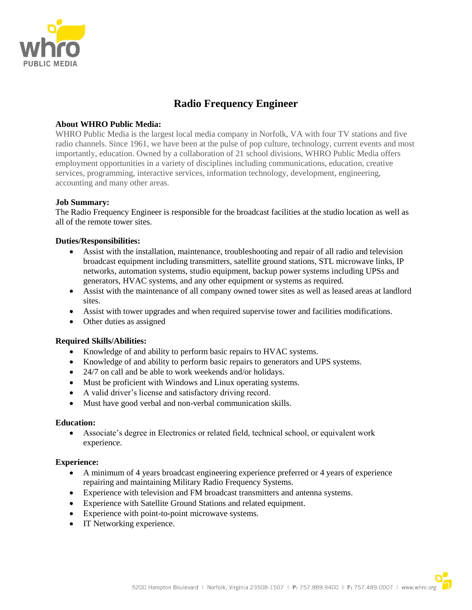

# **Radio Frequency Engineer**

### **About WHRO Public Media:**

WHRO Public Media is the largest local media company in Norfolk, VA with four TV stations and five radio channels. Since 1961, we have been at the pulse of pop culture, technology, current events and most importantly, education. Owned by a collaboration of 21 school divisions, WHRO Public Media offers employment opportunities in a variety of disciplines including communications, education, creative services, programming, interactive services, information technology, development, engineering, accounting and many other areas.

### **Job Summary:**

The Radio Frequency Engineer is responsible for the broadcast facilities at the studio location as well as all of the remote tower sites.

### **Duties/Responsibilities:**

- Assist with the installation, maintenance, troubleshooting and repair of all radio and television broadcast equipment including transmitters, satellite ground stations, STL microwave links, IP networks, automation systems, studio equipment, backup power systems including UPSs and generators, HVAC systems, and any other equipment or systems as required.
- Assist with the maintenance of all company owned tower sites as well as leased areas at landlord sites.
- Assist with tower upgrades and when required supervise tower and facilities modifications.
- Other duties as assigned

### **Required Skills/Abilities:**

- Knowledge of and ability to perform basic repairs to HVAC systems.
- Knowledge of and ability to perform basic repairs to generators and UPS systems.
- 24/7 on call and be able to work weekends and/or holidays.
- Must be proficient with Windows and Linux operating systems.
- A valid driver's license and satisfactory driving record.
- Must have good verbal and non-verbal communication skills.

### **Education:**

• Associate's degree in Electronics or related field, technical school, or equivalent work experience.

### **Experience:**

- A minimum of 4 years broadcast engineering experience preferred or 4 years of experience repairing and maintaining Military Radio Frequency Systems.
- Experience with television and FM broadcast transmitters and antenna systems.
- Experience with Satellite Ground Stations and related equipment.
- Experience with point-to-point microwave systems.
- IT Networking experience.